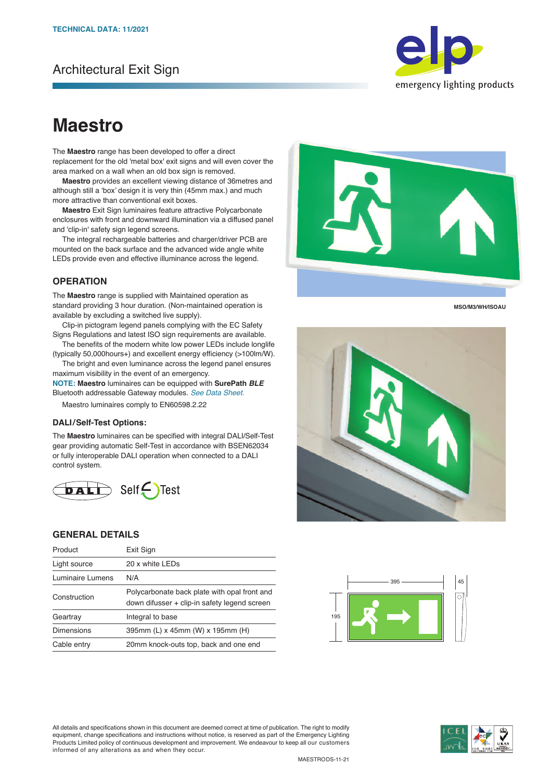# Architectural Exit Sign



# **Maestro**

The **Maestro** range has been developed to offer a direct replacement for the old 'metal box' exit signs and will even cover the area marked on a wall when an old box sign is removed.

 **Maestro** provides an excellent viewing distance of 36metres and although still a 'box' design it is very thin (45mm max.) and much more attractive than conventional exit boxes.

 **Maestro** Exit Sign luminaires feature attractive Polycarbonate enclosures with front and downward illumination via a diffused panel and 'clip‐in' safety sign legend screens.

 The integral rechargeable batteries and charger/driver PCB are mounted on the back surface and the advanced wide angle white LEDs provide even and effective illuminance across the legend.

### **OPERATION**

The **Maestro** range is supplied with Maintained operation as standard providing 3 hour duration. (Non‐maintained operation is available by excluding a switched live supply).

 Clip‐in pictogram legend panels complying with the EC Safety Signs Regulations and latest ISO sign requirements are available.

 The benefits of the modern white low power LEDs include longlife (typically 50,000hours+) and excellent energy efficiency (>100lm/W).

 The bright and even luminance across the legend panel ensures maximum visibility in the event of an emergency.

**NOTE: Maestro** luminaires can be equipped with **SurePath** *BLE* Bluetooth addressable Gateway modules. *See Data Sheet.*

Maestro luminaires comply to EN60598.2.22

#### **DALI/Self-Test Options:**

The **Maestro** luminaires can be specified with integral DALI/Self-Test gear providing automatic Self-Test in accordance with BSEN62034 or fully interoperable DALI operation when connected to a DALI control system.



## **GENERAL DETAILS**

| Product           | Exit Sign                                                                                    |  |
|-------------------|----------------------------------------------------------------------------------------------|--|
| Light source      | 20 x white LEDs                                                                              |  |
| Luminaire Lumens  | N/A                                                                                          |  |
| Construction      | Polycarbonate back plate with opal front and<br>down difusser + clip-in safety legend screen |  |
| Geartray          | Integral to base                                                                             |  |
| <b>Dimensions</b> | 395mm (L) x 45mm (W) x 195mm (H)                                                             |  |
| Cable entry       | 20mm knock-outs top, back and one end                                                        |  |



**MSO/M3/WH/ISOAU**





All details and specifications shown in this document are deemed correct at time of publication. The right to modify equipment, change specifications and instructions without notice, is reserved as part of the Emergency Lighting Products Limited policy of continuous development and improvement. We endeavour to keep all our customers informed of any alterations as and when they occur.